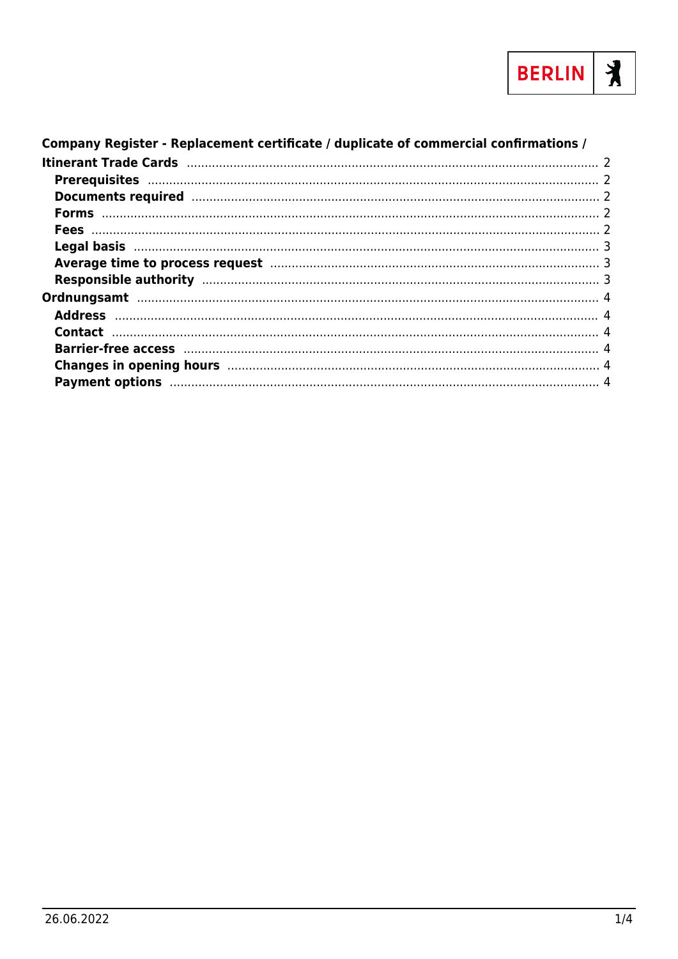

| Company Register - Replacement certificate / duplicate of commercial confirmations / |  |
|--------------------------------------------------------------------------------------|--|
|                                                                                      |  |
|                                                                                      |  |
|                                                                                      |  |
|                                                                                      |  |
|                                                                                      |  |
|                                                                                      |  |
| Average time to process request manufacture and a series of 3                        |  |
|                                                                                      |  |
|                                                                                      |  |
|                                                                                      |  |
|                                                                                      |  |
|                                                                                      |  |
|                                                                                      |  |
|                                                                                      |  |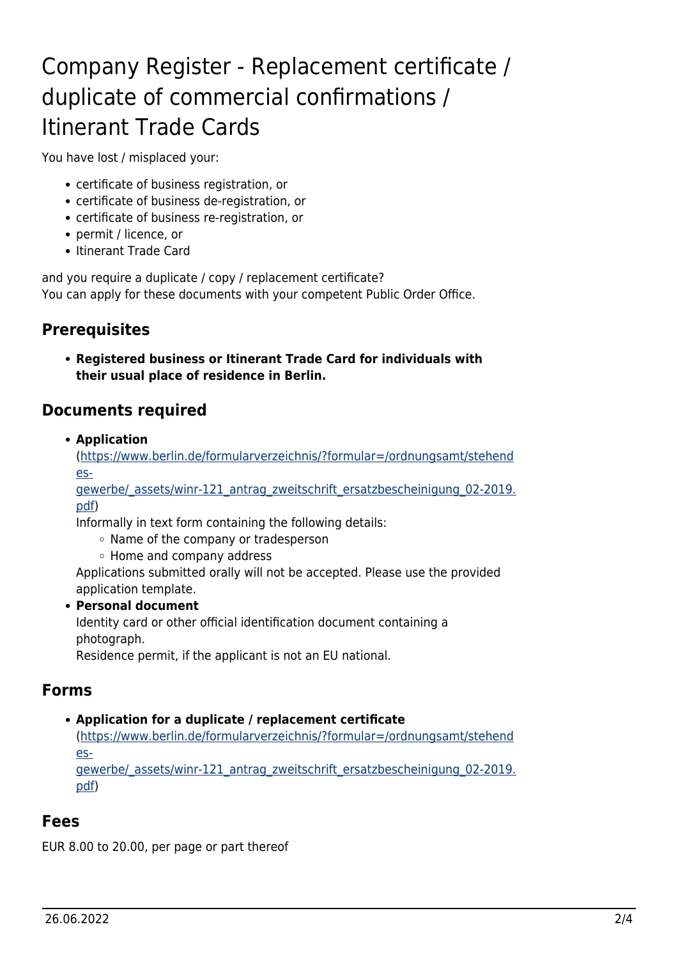# <span id="page-1-0"></span>Company Register - Replacement certificate / duplicate of commercial confirmations / Itinerant Trade Cards

You have lost / misplaced your:

- certificate of business registration, or
- certificate of business de-registration, or
- certificate of business re-registration, or
- permit / licence, or
- Itinerant Trade Card

and you require a duplicate / copy / replacement certificate? You can apply for these documents with your competent Public Order Office.

## <span id="page-1-1"></span>**Prerequisites**

**Registered business or Itinerant Trade Card for individuals with their usual place of residence in Berlin.**

#### <span id="page-1-2"></span>**Documents required**

**Application**

([https://www.berlin.de/formularverzeichnis/?formular=/ordnungsamt/stehend](https://www.berlin.de/formularverzeichnis/?formular=/ordnungsamt/stehendes-gewerbe/_assets/winr-121_antrag_zweitschrift_ersatzbescheinigung_02-2019.pdf) [es-](https://www.berlin.de/formularverzeichnis/?formular=/ordnungsamt/stehendes-gewerbe/_assets/winr-121_antrag_zweitschrift_ersatzbescheinigung_02-2019.pdf)

gewerbe/ assets/winr-121 antrag\_zweitschrift\_ersatzbescheinigung\_02-2019. [pdf\)](https://www.berlin.de/formularverzeichnis/?formular=/ordnungsamt/stehendes-gewerbe/_assets/winr-121_antrag_zweitschrift_ersatzbescheinigung_02-2019.pdf)

Informally in text form containing the following details:

- Name of the company or tradesperson
- Home and company address

Applications submitted orally will not be accepted. Please use the provided application template.

#### **Personal document**

Identity card or other official identification document containing a photograph.

Residence permit, if the applicant is not an EU national.

#### <span id="page-1-3"></span>**Forms**

#### **Application for a duplicate / replacement certificate**

([https://www.berlin.de/formularverzeichnis/?formular=/ordnungsamt/stehend](https://www.berlin.de/formularverzeichnis/?formular=/ordnungsamt/stehendes-gewerbe/_assets/winr-121_antrag_zweitschrift_ersatzbescheinigung_02-2019.pdf) [es-](https://www.berlin.de/formularverzeichnis/?formular=/ordnungsamt/stehendes-gewerbe/_assets/winr-121_antrag_zweitschrift_ersatzbescheinigung_02-2019.pdf)

[gewerbe/\\_assets/winr-121\\_antrag\\_zweitschrift\\_ersatzbescheinigung\\_02-2019.](https://www.berlin.de/formularverzeichnis/?formular=/ordnungsamt/stehendes-gewerbe/_assets/winr-121_antrag_zweitschrift_ersatzbescheinigung_02-2019.pdf) [pdf\)](https://www.berlin.de/formularverzeichnis/?formular=/ordnungsamt/stehendes-gewerbe/_assets/winr-121_antrag_zweitschrift_ersatzbescheinigung_02-2019.pdf)

#### <span id="page-1-4"></span>**Fees**

EUR 8.00 to 20.00, per page or part thereof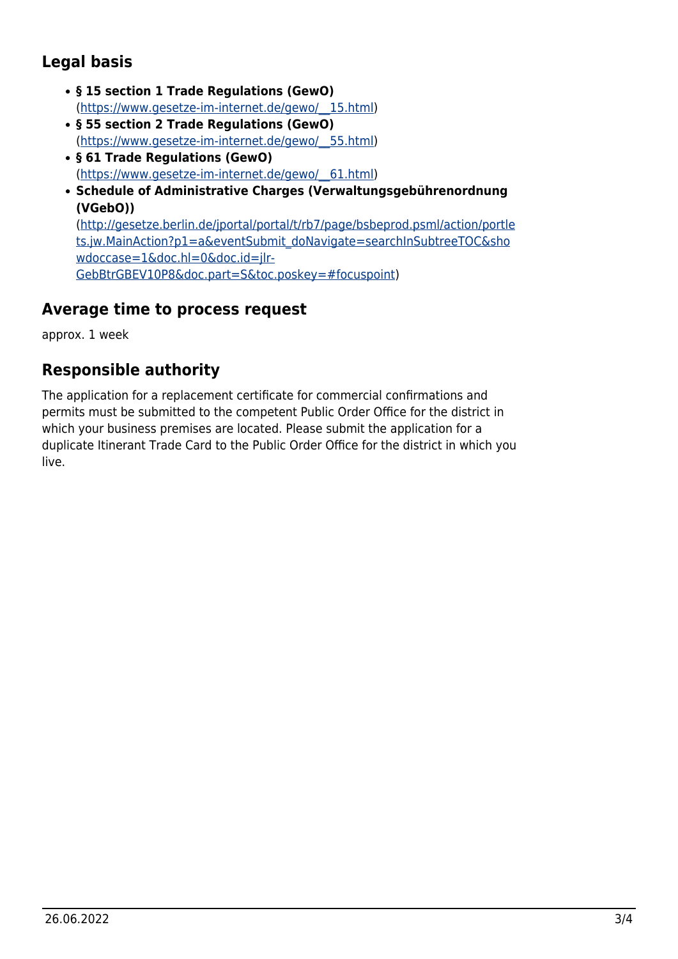# <span id="page-2-0"></span>**Legal basis**

- **§ 15 section 1 Trade Regulations (GewO)** ([https://www.gesetze-im-internet.de/gewo/\\_\\_15.html](https://www.gesetze-im-internet.de/gewo/__15.html))
- **§ 55 section 2 Trade Regulations (GewO)** ([https://www.gesetze-im-internet.de/gewo/\\_\\_55.html](https://www.gesetze-im-internet.de/gewo/__55.html))
- **§ 61 Trade Regulations (GewO)** ([https://www.gesetze-im-internet.de/gewo/\\_\\_61.html](https://www.gesetze-im-internet.de/gewo/__61.html))
- **Schedule of Administrative Charges (Verwaltungsgebührenordnung (VGebO))** ([http://gesetze.berlin.de/jportal/portal/t/rb7/page/bsbeprod.psml/action/portle](http://gesetze.berlin.de/jportal/portal/t/rb7/page/bsbeprod.psml/action/portlets.jw.MainAction?p1=a&eventSubmit_doNavigate=searchInSubtreeTOC&showdoccase=1&doc.hl=0&doc.id=jlr-GebBtrGBEV10P8&doc.part=S&toc.poskey=#focuspoint) [ts.jw.MainAction?p1=a&eventSubmit\\_doNavigate=searchInSubtreeTOC&sho](http://gesetze.berlin.de/jportal/portal/t/rb7/page/bsbeprod.psml/action/portlets.jw.MainAction?p1=a&eventSubmit_doNavigate=searchInSubtreeTOC&showdoccase=1&doc.hl=0&doc.id=jlr-GebBtrGBEV10P8&doc.part=S&toc.poskey=#focuspoint) [wdoccase=1&doc.hl=0&doc.id=jlr-](http://gesetze.berlin.de/jportal/portal/t/rb7/page/bsbeprod.psml/action/portlets.jw.MainAction?p1=a&eventSubmit_doNavigate=searchInSubtreeTOC&showdoccase=1&doc.hl=0&doc.id=jlr-GebBtrGBEV10P8&doc.part=S&toc.poskey=#focuspoint)

[GebBtrGBEV10P8&doc.part=S&toc.poskey=#focuspoint](http://gesetze.berlin.de/jportal/portal/t/rb7/page/bsbeprod.psml/action/portlets.jw.MainAction?p1=a&eventSubmit_doNavigate=searchInSubtreeTOC&showdoccase=1&doc.hl=0&doc.id=jlr-GebBtrGBEV10P8&doc.part=S&toc.poskey=#focuspoint))

## <span id="page-2-1"></span>**Average time to process request**

approx. 1 week

# <span id="page-2-2"></span>**Responsible authority**

The application for a replacement certificate for commercial confirmations and permits must be submitted to the competent Public Order Office for the district in which your business premises are located. Please submit the application for a duplicate Itinerant Trade Card to the Public Order Office for the district in which you live.